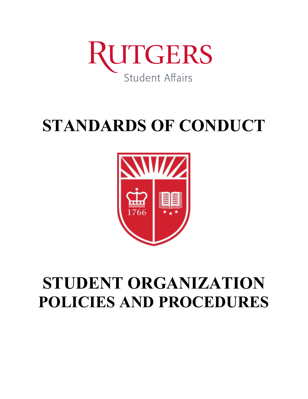

# **STANDARDS OF CONDUCT**



# **STUDENT ORGANIZATION POLICIES AND PROCEDURES**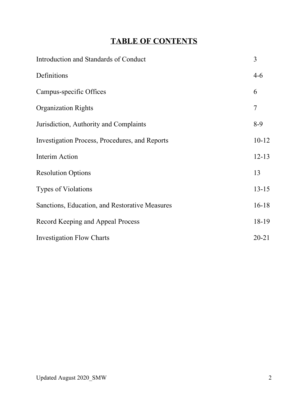# **TABLE OF CONTENTS**

| Introduction and Standards of Conduct          | 3         |
|------------------------------------------------|-----------|
| Definitions                                    | $4 - 6$   |
| Campus-specific Offices                        | 6         |
| <b>Organization Rights</b>                     | 7         |
| Jurisdiction, Authority and Complaints         | $8-9$     |
| Investigation Process, Procedures, and Reports | $10-12$   |
| Interim Action                                 | $12 - 13$ |
| <b>Resolution Options</b>                      | 13        |
| <b>Types of Violations</b>                     | $13 - 15$ |
| Sanctions, Education, and Restorative Measures | $16-18$   |
| Record Keeping and Appeal Process              | 18-19     |
| <b>Investigation Flow Charts</b>               | $20 - 21$ |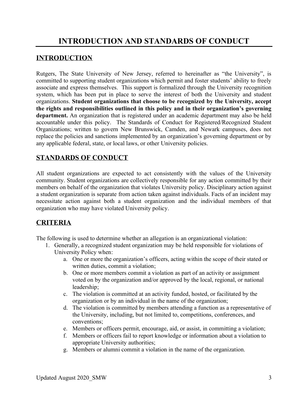### **INTRODUCTION**

Rutgers, The State University of New Jersey, referred to hereinafter as "the University", is committed to supporting student organizations which permit and foster students' ability to freely associate and express themselves. This support is formalized through the University recognition system, which has been put in place to serve the interest of both the University and student organizations. **Student organizations that choose to be recognized by the University, accept the rights and responsibilities outlined in this policy and in their organization's governing department.** An organization that is registered under an academic department may also be held accountable under this policy. The Standards of Conduct for Registered/Recognized Student Organizations; written to govern New Brunswick, Camden, and Newark campuses, does not replace the policies and sanctions implemented by an organization's governing department or by any applicable federal, state, or local laws, or other University policies.

## **STANDARDS OF CONDUCT**

All student organizations are expected to act consistently with the values of the University community. Student organizations are collectively responsible for any action committed by their members on behalf of the organization that violates University policy. Disciplinary action against a student organization is separate from action taken against individuals. Facts of an incident may necessitate action against both a student organization and the individual members of that organization who may have violated University policy.

### **CRITERIA**

The following is used to determine whether an allegation is an organizational violation:

- 1. Generally, a recognized student organization may be held responsible for violations of University Policy when:
	- a. One or more the organization's officers, acting within the scope of their stated or written duties, commit a violation;
	- b. One or more members commit a violation as part of an activity or assignment voted on by the organization and/or approved by the local, regional, or national leadership;
	- c. The violation is committed at an activity funded, hosted, or facilitated by the organization or by an individual in the name of the organization;
	- d. The violation is committed by members attending a function as a representative of the University, including, but not limited to, competitions, conferences, and conventions;
	- e. Members or officers permit, encourage, aid, or assist, in committing a violation;
	- f. Members or officers fail to report knowledge or information about a violation to appropriate University authorities;
	- g. Members or alumni commit a violation in the name of the organization.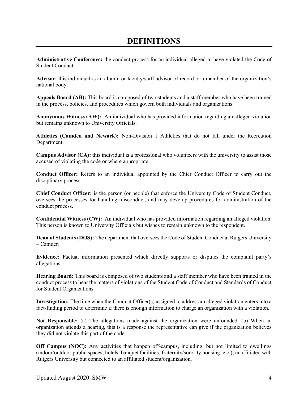## **DEFINITIONS**

**Administrative Conference:** the conduct process for an individual alleged to have violated the Code of Student Conduct.

**Advisor:** this individual is an alumni or faculty/staff advisor of record or a member of the organization's national body.

**Appeals Board (AB):** This board is composed of two students and a staff member who have been trained in the process, policies, and procedures which govern both individuals and organizations.

**Anonymous Witness (AW):** An individual who has provided information regarding an alleged violation but remains unknown to University Officials.

**Athletics (Camden and Newark):** Non-Division 1 Athletics that do not fall under the Recreation Department.

**Campus Advisor (CA):** this individual is a professional who volunteers with the university to assist those accused of violating the code or where appropriate.

**Conduct Officer:** Refers to an individual appointed by the Chief Conduct Officer to carry out the disciplinary process.

**Chief Conduct Officer:** is the person (or people) that enforce the University Code of Student Conduct, oversees the processes for handling misconduct, and may develop procedures for administration of the conduct process.

**Confidential Witness (CW):** An individual who has provided information regarding an alleged violation. This person is known to University Officials but wishes to remain unknown to the respondent.

**Dean of Students (DOS):** The department that oversees the Code of Student Conduct at Rutgers University – Camden

**Evidence:** Factual information presented which directly supports or disputes the complaint party's allegations.

**Hearing Board:** This board is composed of two students and a staff member who have been trained in the conduct process to hear the matters of violations of the Student Code of Conduct and Standards of Conduct for Student Organizations.

**Investigation:** The time when the Conduct Officer(s) assigned to address an alleged violation enters into a fact-finding period to determine if there is enough information to charge an organization with a violation.

**Not Responsible:** (a) The allegations made against the organization were unfounded. (b) When an organization attends a hearing, this is a response the representative can give if the organization believes they did not violate this part of the code.

**Off Campus (NOC):** Any activities that happen off-campus, including, but not limited to dwellings (indoor/outdoor public spaces, hotels, banquet facilities, fraternity/sorority housing, etc.), unaffiliated with Rutgers University but connected to an affiliated student/organization.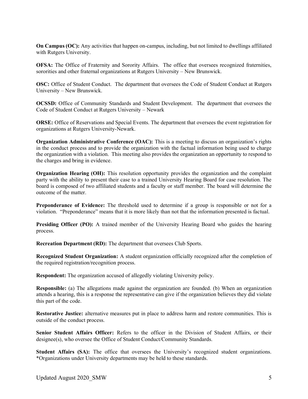**On Campus (OC):** Any activities that happen on-campus, including, but not limited to dwellings affiliated with Rutgers University.

**OFSA:** The Office of Fraternity and Sorority Affairs. The office that oversees recognized fraternities, sororities and other fraternal organizations at Rutgers University – New Brunswick.

**OSC:** Office of Student Conduct. The department that oversees the Code of Student Conduct at Rutgers University – New Brunswick.

**OCSSD:** Office of Community Standards and Student Development. The department that oversees the Code of Student Conduct at Rutgers University – Newark

**ORSE:** Office of Reservations and Special Events. The department that oversees the event registration for organizations at Rutgers University-Newark.

**Organization Administrative Conference (OAC):** This is a meeting to discuss an organization's rights in the conduct process and to provide the organization with the factual information being used to charge the organization with a violation. This meeting also provides the organization an opportunity to respond to the charges and bring in evidence.

**Organization Hearing (OH):** This resolution opportunity provides the organization and the complaint party with the ability to present their case to a trained University Hearing Board for case resolution. The board is composed of two affiliated students and a faculty or staff member. The board will determine the outcome of the matter.

**Preponderance of Evidence:** The threshold used to determine if a group is responsible or not for a violation. "Preponderance" means that it is more likely than not that the information presented is factual.

**Presiding Officer (PO):** A trained member of the University Hearing Board who guides the hearing process.

**Recreation Department (RD):** The department that oversees Club Sports.

**Recognized Student Organization:** A student organization officially recognized after the completion of the required registration/recognition process.

**Respondent:** The organization accused of allegedly violating University policy.

**Responsible:** (a) The allegations made against the organization are founded. (b) When an organization attends a hearing, this is a response the representative can give if the organization believes they did violate this part of the code.

**Restorative Justice:** alternative measures put in place to address harm and restore communities. This is outside of the conduct process.

**Senior Student Affairs Officer:** Refers to the officer in the Division of Student Affairs, or their designee(s), who oversee the Office of Student Conduct/Community Standards.

Student Affairs (SA): The office that oversees the University's recognized student organizations. \*Organizations under University departments may be held to these standards.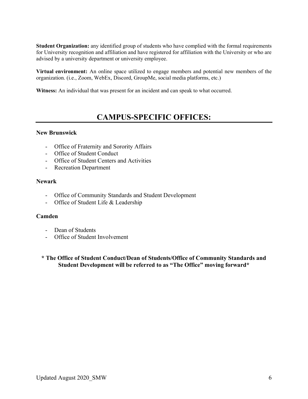**Student Organization:** any identified group of students who have complied with the formal requirements for University recognition and affiliation and have registered for affiliation with the University or who are advised by a university department or university employee.

**Virtual environment:** An online space utilized to engage members and potential new members of the organization. (i.e., Zoom, WebEx, Discord, GroupMe, social media platforms, etc.)

**Witness:** An individual that was present for an incident and can speak to what occurred.

## **CAMPUS-SPECIFIC OFFICES:**

#### **New Brunswick**

- Office of Fraternity and Sorority Affairs
- Office of Student Conduct
- Office of Student Centers and Activities
- Recreation Department

#### **Newark**

- Office of Community Standards and Student Development
- Office of Student Life & Leadership

#### **Camden**

- Dean of Students
- Office of Student Involvement

**\* The Office of Student Conduct/Dean of Students/Office of Community Standards and Student Development will be referred to as "The Office" moving forward\***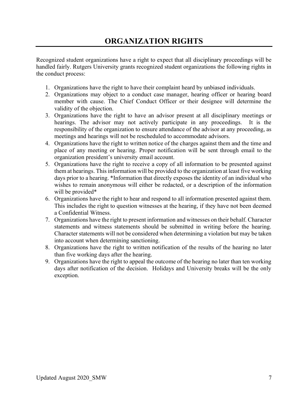# **ORGANIZATION RIGHTS**

Recognized student organizations have a right to expect that all disciplinary proceedings will be handled fairly. Rutgers University grants recognized student organizations the following rights in the conduct process:

- 1. Organizations have the right to have their complaint heard by unbiased individuals.
- 2. Organizations may object to a conduct case manager, hearing officer or hearing board member with cause. The Chief Conduct Officer or their designee will determine the validity of the objection.
- 3. Organizations have the right to have an advisor present at all disciplinary meetings or hearings. The advisor may not actively participate in any proceedings. It is the responsibility of the organization to ensure attendance of the advisor at any proceeding, as meetings and hearings will not be rescheduled to accommodate advisors.
- 4. Organizations have the right to written notice of the charges against them and the time and place of any meeting or hearing. Proper notification will be sent through email to the organization president's university email account.
- 5. Organizations have the right to receive a copy of all information to be presented against them at hearings. This information will be provided to the organization at least five working days prior to a hearing. \*Information that directly exposes the identity of an individual who wishes to remain anonymous will either be redacted, or a description of the information will be provided\*
- 6. Organizations have the right to hear and respond to all information presented against them. This includes the right to question witnesses at the hearing, if they have not been deemed a Confidential Witness.
- 7. Organizations have the right to present information and witnesses on their behalf. Character statements and witness statements should be submitted in writing before the hearing. Character statements will not be considered when determining a violation but may be taken into account when determining sanctioning.
- 8. Organizations have the right to written notification of the results of the hearing no later than five working days after the hearing.
- 9. Organizations have the right to appeal the outcome of the hearing no later than ten working days after notification of the decision. Holidays and University breaks will be the only exception.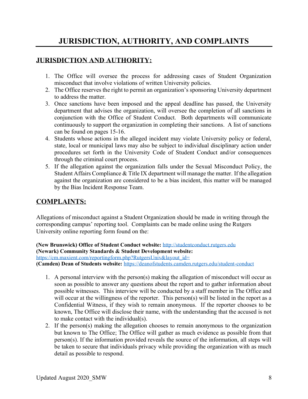# **JURISDICTION, AUTHORITY, AND COMPLAINTS**

#### **JURISDICTION AND AUTHORITY:**

- 1. The Office will oversee the process for addressing cases of Student Organization misconduct that involve violations of written University policies.
- 2. The Office reserves the right to permit an organization's sponsoring University department to address the matter.
- 3. Once sanctions have been imposed and the appeal deadline has passed, the University department that advises the organization, will oversee the completion of all sanctions in conjunction with the Office of Student Conduct. Both departments will communicate continuously to support the organization in completing their sanctions. A list of sanctions can be found on pages 15-16.
- 4. Students whose actions in the alleged incident may violate University policy or federal, state, local or municipal laws may also be subject to individual disciplinary action under procedures set forth in the University Code of Student Conduct and/or consequences through the criminal court process.
- 5. If the allegation against the organization falls under the Sexual Misconduct Policy, the Student Affairs Compliance & Title IX department will manage the matter. If the allegation against the organization are considered to be a bias incident, this matter will be managed by the Bias Incident Response Team.

#### **COMPLAINTS:**

Allegations of misconduct against a Student Organization should be made in writing through the corresponding campus' reporting tool. Complaints can be made online using the Rutgers University online reporting form found on the:

**(New Brunswick) Office of Student Conduct website:** [http://studentconduct.rutgers.edu](http://studentconduct.rutgers.edu/)

**(Newark) Community Standards & Student Development website:**

[https://cm.maxient.com/reportingform.php?RutgersUniv&layout\\_id=](https://cm.maxient.com/reportingform.php?RutgersUniv&layout_id=) **(Camden) Dean of Students website:** <https://deanofstudents.camden.rutgers.edu/student-conduct>

- 1. A personal interview with the person(s) making the allegation of misconduct will occur as soon as possible to answer any questions about the report and to gather information about possible witnesses. This interview will be conducted by a staff member in The Office and will occur at the willingness of the reporter. This person(s) will be listed in the report as a Confidential Witness, if they wish to remain anonymous. If the reporter chooses to be known, The Office will disclose their name, with the understanding that the accused is not to make contact with the individual(s).
- 2. If the person(s) making the allegation chooses to remain anonymous to the organization but known to The Office; The Office will gather as much evidence as possible from that person(s). If the information provided reveals the source of the information, all steps will be taken to secure that individuals privacy while providing the organization with as much detail as possible to respond.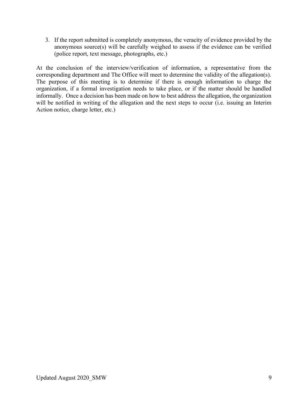3. If the report submitted is completely anonymous, the veracity of evidence provided by the anonymous source(s) will be carefully weighed to assess if the evidence can be verified (police report, text message, photographs, etc.)

At the conclusion of the interview/verification of information, a representative from the corresponding department and The Office will meet to determine the validity of the allegation(s). The purpose of this meeting is to determine if there is enough information to charge the organization, if a formal investigation needs to take place, or if the matter should be handled informally. Once a decision has been made on how to best address the allegation, the organization will be notified in writing of the allegation and the next steps to occur (i.e. issuing an Interim Action notice, charge letter, etc.)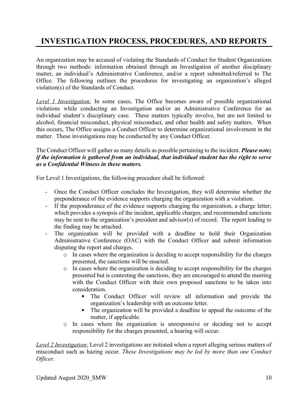# **INVESTIGATION PROCESS, PROCEDURES, AND REPORTS**

An organization may be accused of violating the Standards of Conduct for Student Organizations through two methods: information obtained through an Investigation of another disciplinary matter, an individual's Administrative Conference, and/or a report submitted/referred to The Office. The following outlines the procedures for investigating an organization's alleged violation(s) of the Standards of Conduct.

*Level 1 Investigation:* In some cases, The Office becomes aware of possible organizational violations while conducting an Investigation and/or an Administrative Conference for an individual student's disciplinary case. These matters typically involve, but are not limited to alcohol, financial misconduct, physical misconduct, and other health and safety matters. When this occurs, The Office assigns a Conduct Officer to determine organizational involvement in the matter. These investigations may be conducted by any Conduct Officer.

#### The Conduct Officer will gather as many details as possible pertaining to the incident. *Please note; if the information is gathered from an individual, that individual student has the right to serve as a Confidential Witness in these matters.*

For Level 1 Investigations, the following procedure shall be followed:

- Once the Conduct Officer concludes the Investigation, they will determine whether the preponderance of the evidence supports charging the organization with a violation.
- If the preponderance of the evidence supports charging the organization, a charge letter; which provides a synopsis of the incident, applicable charges, and recommended sanctions may be sent to the organization's president and advisor(s) of record. The report leading to the finding may be attached.
- The organization will be provided with a deadline to hold their Organization Administrative Conference (OAC) with the Conduct Officer and submit information disputing the report and charges.
	- o In cases where the organization is deciding to accept responsibility for the charges presented, the sanctions will be enacted.
	- o In cases where the organization is deciding to accept responsibility for the charges presented but is contesting the sanctions, they are encouraged to attend the meeting with the Conduct Officer with their own proposed sanctions to be taken into consideration.
		- The Conduct Officer will review all information and provide the organization's leadership with an outcome letter.
		- The organization will be provided a deadline to appeal the outcome of the matter, if applicable.
	- o In cases where the organization is unresponsive or deciding not to accept responsibility for the charges presented, a hearing will occur.

*Level 2 Investigation:* Level 2 investigations are initiated when a report alleging serious matters of misconduct such as hazing occur. *These Investigations may be led by more than one Conduct Officer.*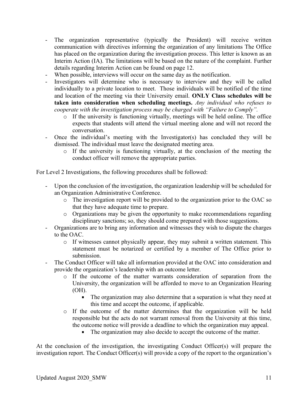- The organization representative (typically the President) will receive written communication with directives informing the organization of any limitations The Office has placed on the organization during the investigation process. This letter is known as an Interim Action (IA). The limitations will be based on the nature of the complaint. Further details regarding Interim Action can be found on page 12.
- When possible, interviews will occur on the same day as the notification.
- Investigators will determine who is necessary to interview and they will be called individually to a private location to meet. Those individuals will be notified of the time and location of the meeting via their University email. **ONLY Class schedules will be taken into consideration when scheduling meetings.** *Any individual who refuses to cooperate with the investigation process may be charged with "Failure to Comply".*
	- o If the university is functioning virtually, meetings will be held online. The office expects that students will attend the virtual meeting alone and will not record the conversation.
- Once the individual's meeting with the Investigator(s) has concluded they will be dismissed. The individual must leave the designated meeting area.
	- o If the university is functioning virtually, at the conclusion of the meeting the conduct officer will remove the appropriate parties.

For Level 2 Investigations, the following procedures shall be followed:

- Upon the conclusion of the investigation, the organization leadership will be scheduled for an Organization Administrative Conference.
	- o The investigation report will be provided to the organization prior to the OAC so that they have adequate time to prepare.
	- o Organizations may be given the opportunity to make recommendations regarding disciplinary sanctions; so, they should come prepared with those suggestions.
- Organizations are to bring any information and witnesses they wish to dispute the charges to the OAC.
	- $\circ$  If witnesses cannot physically appear, they may submit a written statement. This statement must be notarized or certified by a member of The Office prior to submission.
- The Conduct Officer will take all information provided at the OAC into consideration and provide the organization's leadership with an outcome letter.
	- o If the outcome of the matter warrants consideration of separation from the University, the organization will be afforded to move to an Organization Hearing (OH).
		- The organization may also determine that a separation is what they need at this time and accept the outcome, if applicable.
	- o If the outcome of the matter determines that the organization will be held responsible but the acts do not warrant removal from the University at this time, the outcome notice will provide a deadline to which the organization may appeal.
		- The organization may also decide to accept the outcome of the matter.

At the conclusion of the investigation, the investigating Conduct Officer(s) will prepare the investigation report. The Conduct Officer(s) will provide a copy of the report to the organization's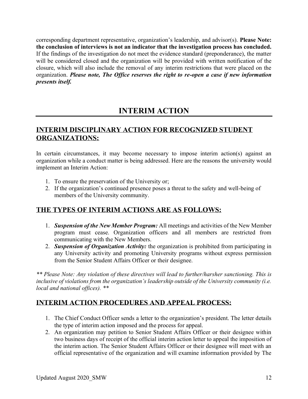corresponding department representative, organization's leadership, and advisor(s). **Please Note: the conclusion of interviews is not an indicator that the investigation process has concluded.** If the findings of the investigation do not meet the evidence standard (preponderance), the matter will be considered closed and the organization will be provided with written notification of the closure, which will also include the removal of any interim restrictions that were placed on the organization. *Please note, The Office reserves the right to re-open a case if new information presents itself.*

# **INTERIM ACTION**

### **INTERIM DISCIPLINARY ACTION FOR RECOGNIZED STUDENT ORGANIZATIONS:**

In certain circumstances, it may become necessary to impose interim action(s) against an organization while a conduct matter is being addressed. Here are the reasons the university would implement an Interim Action:

- 1. To ensure the preservation of the University or;
- 2. If the organization's continued presence poses a threat to the safety and well-being of members of the University community.

### **THE TYPES OF INTERIM ACTIONS ARE AS FOLLOWS:**

- 1. *Suspension of the New Member Program:* All meetings and activities of the New Member program must cease. Organization officers and all members are restricted from communicating with the New Members.
- 2. *Suspension of Organization Activity:* the organization is prohibited from participating in any University activity and promoting University programs without express permission from the Senior Student Affairs Officer or their designee.

*\*\* Please Note: Any violation of these directives will lead to further/harsher sanctioning. This is inclusive of violations from the organization's leadership outside of the University community (i.e. local and national offices). \*\**

### **INTERIM ACTION PROCEDURES AND APPEAL PROCESS:**

- 1. The Chief Conduct Officer sends a letter to the organization's president. The letter details the type of interim action imposed and the process for appeal.
- 2. An organization may petition to Senior Student Affairs Officer or their designee within two business days of receipt of the official interim action letter to appeal the imposition of the interim action. The Senior Student Affairs Officer or their designee will meet with an official representative of the organization and will examine information provided by The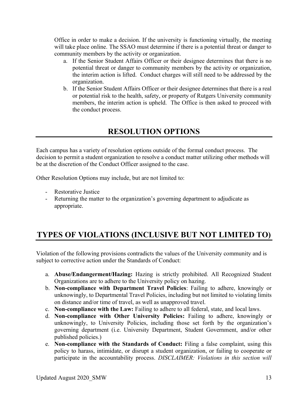Office in order to make a decision. If the university is functioning virtually, the meeting will take place online. The SSAO must determine if there is a potential threat or danger to community members by the activity or organization.

- a. If the Senior Student Affairs Officer or their designee determines that there is no potential threat or danger to community members by the activity or organization, the interim action is lifted. Conduct charges will still need to be addressed by the organization.
- b. If the Senior Student Affairs Officer or their designee determines that there is a real or potential risk to the health, safety, or property of Rutgers University community members, the interim action is upheld. The Office is then asked to proceed with the conduct process.

# **RESOLUTION OPTIONS**

Each campus has a variety of resolution options outside of the formal conduct process. The decision to permit a student organization to resolve a conduct matter utilizing other methods will be at the discretion of the Conduct Officer assigned to the case.

Other Resolution Options may include, but are not limited to:

- Restorative Justice
- Returning the matter to the organization's governing department to adjudicate as appropriate.

# **TYPES OF VIOLATIONS (INCLUSIVE BUT NOT LIMITED TO)**

Violation of the following provisions contradicts the values of the University community and is subject to corrective action under the Standards of Conduct:

- a. **Abuse/Endangerment/Hazing:** Hazing is strictly prohibited. All Recognized Student Organizations are to adhere to the University policy on hazing.
- b. **Non-compliance with Department Travel Policies**: Failing to adhere, knowingly or unknowingly, to Departmental Travel Policies, including but not limited to violating limits on distance and/or time of travel, as well as unapproved travel.
- c. **Non-compliance with the Law:** Failing to adhere to all federal, state, and local laws.
- d. **Non-compliance with Other University Policies:** Failing to adhere, knowingly or unknowingly, to University Policies, including those set forth by the organization's governing department (i.e. University Department, Student Government, and/or other published policies.)
- e. **Non-compliance with the Standards of Conduct:** Filing a false complaint, using this policy to harass, intimidate, or disrupt a student organization, or failing to cooperate or participate in the accountability process. *DISCLAIMER: Violations in this section will*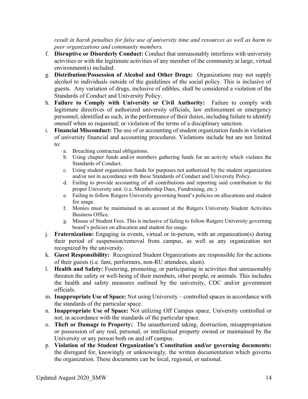result in harsh penalties for false use of university time and resources as well as harm to *peer organizations and community members.*

- f. **Disruptive or Disorderly Conduct:** Conduct that unreasonably interferes with university activities or with the legitimate activities of any member of the community at large, virtual environment(s) included.
- g. **Distribution/Possession of Alcohol and Other Drugs:** Organizations may not supply alcohol to individuals outside of the guidelines of the social policy. This is inclusive of guests. Any variation of drugs, inclusive of edibles, shall be considered a violation of the Standards of Conduct and University Policy.
- h. **Failure to Comply with University or Civil Authority:** Failure to comply with legitimate directives of authorized university officials, law enforcement or emergency personnel, identified as such, in the performance of their duties, including failure to identify oneself when so requested; or violation of the terms of a disciplinary sanction.
- i. **Financial Misconduct:** The use of or accounting of student organization funds in violation of university financial and accounting procedures. Violations include but are not limited to:
	- a. Breaching contractual obligations.
	- b. Using chapter funds and/or members gathering funds for an activity which violates the Standards of Conduct.
	- c. Using student organization funds for purposes not authorized by the student organization and/or not in accordance with these Standards of Conduct and University Policy.
	- d. Failing to provide accounting of all contributions and reporting said contribution to the proper University unit. (i.e. Membership Dues, Fundraising, etc.)
	- e. Failing to follow Rutgers University governing board's policies on allocations and student fee usage.
	- f. Monies must be maintained in an account at the Rutgers University Student Activities Business Office.
	- g. Misuse of Student Fees. This is inclusive of failing to follow Rutgers University governing board's policies on allocation and student fee usage.
- j. **Fraternization:** Engaging in events, virtual or in-person, with an organization(s) during their period of suspension/removal from campus, as well as any organization not recognized by the university.
- k. **Guest Responsibility:** Recognized Student Organizations are responsible for the actions of their guests (i.e. fans, performers, non-RU attendees, alum).
- l. **Health and Safety:** Fostering, promoting, or participating in activities that unreasonably threaten the safety or well-being of their members, other people, or animals. This includes the health and safety measures outlined by the university, CDC and/or government officials.
- m. **Inappropriate Use of Space:** Not using University controlled spaces in accordance with the standards of the particular space.
- n. **Inappropriate Use of Space:** Not utilizing Off Campus space, University controlled or not, in accordance with the standards of the particular space.
- o. **Theft or Damage to Property:** The unauthorized taking, destruction, misappropriation or possession of any real, personal, or intellectual property owned or maintained by the University or any person both on and off campus.
- p. **Violation of the Student Organization's Constitution and/or governing documents:** the disregard for, knowingly or unknowingly, the written documentation which governs the organization. These documents can be local, regional, or national.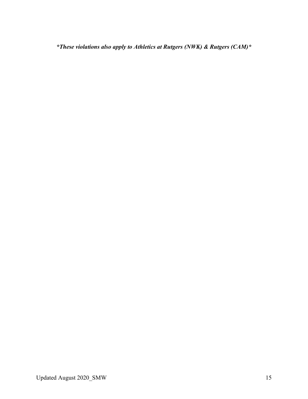*\*These violations also apply to Athletics at Rutgers (NWK) & Rutgers (CAM)\**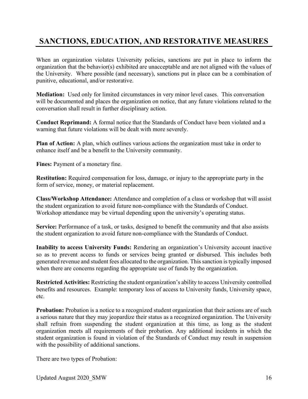# **SANCTIONS, EDUCATION, AND RESTORATIVE MEASURES**

When an organization violates University policies, sanctions are put in place to inform the organization that the behavior(s) exhibited are unacceptable and are not aligned with the values of the University. Where possible (and necessary), sanctions put in place can be a combination of punitive, educational, and/or restorative.

**Mediation:** Used only for limited circumstances in very minor level cases. This conversation will be documented and places the organization on notice, that any future violations related to the conversation shall result in further disciplinary action.

**Conduct Reprimand:** A formal notice that the Standards of Conduct have been violated and a warning that future violations will be dealt with more severely.

**Plan of Action:** A plan, which outlines various actions the organization must take in order to enhance itself and be a benefit to the University community.

**Fines:** Payment of a monetary fine.

**Restitution:** Required compensation for loss, damage, or injury to the appropriate party in the form of service, money, or material replacement.

**Class/Workshop Attendance:** Attendance and completion of a class or workshop that will assist the student organization to avoid future non-compliance with the Standards of Conduct. Workshop attendance may be virtual depending upon the university's operating status.

**Service:** Performance of a task, or tasks, designed to benefit the community and that also assists the student organization to avoid future non-compliance with the Standards of Conduct.

**Inability to access University Funds:** Rendering an organization's University account inactive so as to prevent access to funds or services being granted or disbursed. This includes both generated revenue and student fees allocated to the organization. This sanction is typically imposed when there are concerns regarding the appropriate use of funds by the organization.

**Restricted Activities:** Restricting the student organization's ability to access University controlled benefits and resources. Example: temporary loss of access to University funds, University space, etc.

**Probation:** Probation is a notice to a recognized student organization that their actions are of such a serious nature that they may jeopardize their status as a recognized organization. The University shall refrain from suspending the student organization at this time, as long as the student organization meets all requirements of their probation. Any additional incidents in which the student organization is found in violation of the Standards of Conduct may result in suspension with the possibility of additional sanctions.

There are two types of Probation: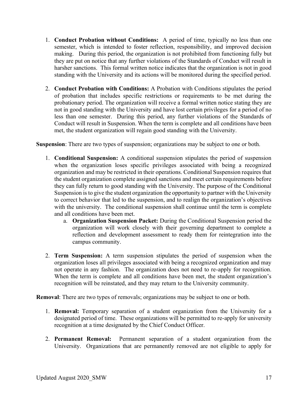- 1. **Conduct Probation without Conditions:** A period of time, typically no less than one semester, which is intended to foster reflection, responsibility, and improved decision making. During this period, the organization is not prohibited from functioning fully but they are put on notice that any further violations of the Standards of Conduct will result in harsher sanctions. This formal written notice indicates that the organization is not in good standing with the University and its actions will be monitored during the specified period.
- 2. **Conduct Probation with Conditions:** A Probation with Conditions stipulates the period of probation that includes specific restrictions or requirements to be met during the probationary period. The organization will receive a formal written notice stating they are not in good standing with the University and have lost certain privileges for a period of no less than one semester. During this period, any further violations of the Standards of Conduct will result in Suspension. When the term is complete and all conditions have been met, the student organization will regain good standing with the University.

**Suspension**: There are two types of suspension; organizations may be subject to one or both.

- 1. **Conditional Suspension:** A conditional suspension stipulates the period of suspension when the organization loses specific privileges associated with being a recognized organization and may be restricted in their operations. Conditional Suspension requires that the student organization complete assigned sanctions and meet certain requirements before they can fully return to good standing with the University. The purpose of the Conditional Suspension is to give the student organization the opportunity to partner with the University to correct behavior that led to the suspension, and to realign the organization's objectives with the university. The conditional suspension shall continue until the term is complete and all conditions have been met.
	- a. **Organization Suspension Packet:** During the Conditional Suspension period the organization will work closely with their governing department to complete a reflection and development assessment to ready them for reintegration into the campus community.
- 2. **Term Suspension:** A term suspension stipulates the period of suspension when the organization loses all privileges associated with being a recognized organization and may not operate in any fashion. The organization does not need to re-apply for recognition. When the term is complete and all conditions have been met, the student organization's recognition will be reinstated, and they may return to the University community.

**Removal**: There are two types of removals; organizations may be subject to one or both.

- 1. **Removal:** Temporary separation of a student organization from the University for a designated period of time. These organizations will be permitted to re-apply for university recognition at a time designated by the Chief Conduct Officer.
- 2. **Permanent Removal:** Permanent separation of a student organization from the University. Organizations that are permanently removed are not eligible to apply for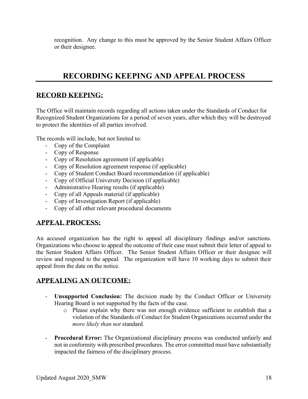recognition. Any change to this must be approved by the Senior Student Affairs Officer or their designee.

# **RECORDING KEEPING AND APPEAL PROCESS**

#### **RECORD KEEPING:**

The Office will maintain records regarding all actions taken under the Standards of Conduct for Recognized Student Organizations for a period of seven years, after which they will be destroyed to protect the identities of all parties involved.

The records will include, but not limited to:

- Copy of the Complaint
- Copy of Response
- Copy of Resolution agreement (if applicable)
- Copy of Resolution agreement response (if applicable)
- Copy of Student Conduct Board recommendation (if applicable)
- Copy of Official University Decision (if applicable)
- Administrative Hearing results (if applicable)
- Copy of all Appeals material (if applicable)
- Copy of Investigation Report (if applicable)
- Copy of all other relevant procedural documents

#### **APPEAL PROCESS:**

An accused organization has the right to appeal all disciplinary findings and/or sanctions. Organizations who choose to appeal the outcome of their case must submit their letter of appeal to the Senior Student Affairs Officer. The Senior Student Affairs Officer or their designee will review and respond to the appeal. The organization will have 10 working days to submit their appeal from the date on the notice.

#### **APPEALING AN OUTCOME:**

- **Unsupported Conclusion:** The decision made by the Conduct Officer or University Hearing Board is not supported by the facts of the case.
	- o Please explain why there was not enough evidence sufficient to establish that a violation of the Standards of Conduct for Student Organizations occurred under the *more likely than not* standard*.*
- **Procedural Error:** The Organizational disciplinary process was conducted unfairly and not in conformity with prescribed procedures. The error committed must have substantially impacted the fairness of the disciplinary process.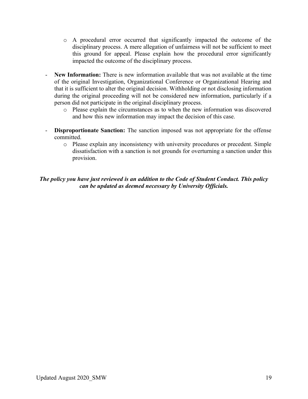- o A procedural error occurred that significantly impacted the outcome of the disciplinary process. A mere allegation of unfairness will not be sufficient to meet this ground for appeal. Please explain how the procedural error significantly impacted the outcome of the disciplinary process.
- New Information: There is new information available that was not available at the time of the original Investigation, Organizational Conference or Organizational Hearing and that it is sufficient to alter the original decision. Withholding or not disclosing information during the original proceeding will not be considered new information, particularly if a person did not participate in the original disciplinary process.
	- o Please explain the circumstances as to when the new information was discovered and how this new information may impact the decision of this case.
- **Disproportionate Sanction:** The sanction imposed was not appropriate for the offense committed.
	- o Please explain any inconsistency with university procedures or precedent. Simple dissatisfaction with a sanction is not grounds for overturning a sanction under this provision.

#### *The policy you have just reviewed is an addition to the Code of Student Conduct. This policy can be updated as deemed necessary by University Officials.*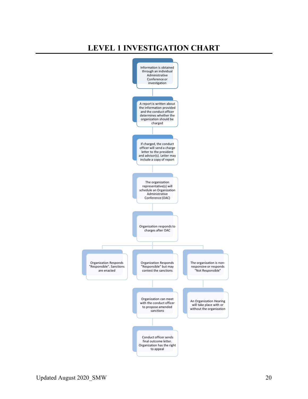# **LEVEL 1 INVESTIGATION CHART**